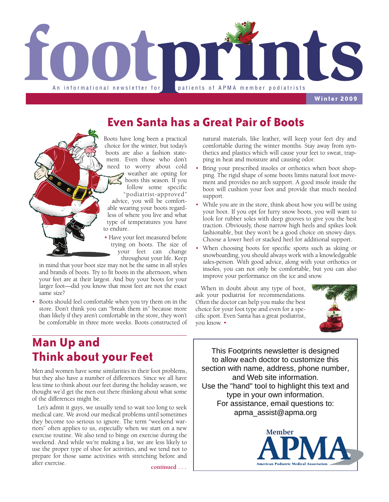

**Winter 2009**

## **Even Santa has a Great Pair of Boots**



Boots have long been a practical choice for the winter, but today's boots are also a fashion statement. Even those who don't need to worry about cold weather are opting for boots this season. If you follow some specific "podiatrist-approved"

advice, you will be comfortable wearing your boots regardless of where you live and what type of temperatures you have to endure.

• Have your feet measured before trying on boots. The size of your feet can change throughout your life. Keep

in mind that your boot size may not be the same in all styles and brands of boots. Try to fit boots in the afternoon, when your feet are at their largest. And buy your boots for your larger foot—did you know that most feet are not the exact same size?

• Boots should feel comfortable when you try them on in the store. Don't think you can "break them in" because more than likely if they aren't comfortable in the store, they won't be comfortable in three more weeks. Boots constructed of natural materials, like leather, will keep your feet dry and comfortable during the winter months. Stay away from synthetics and plastics which will cause your feet to sweat, trapping in heat and moisture and causing odor.

- Bring your prescribed insoles or orthotics when boot shopping. The rigid shape of some boots limits natural foot movement and provides no arch support. A good insole inside the boot will cushion your foot and provide that much needed support.
- While you are in the store, think about how you will be using your boot. If you opt for furry snow boots, you will want to look for rubber soles with deep grooves to give you the best traction. Obviously, those narrow high heels and spikes look fashionable, but they won't be a good choice on snowy days. Choose a lower heel or stacked heel for additional support.
- When choosing boots for specific sports such as skiing or snowboarding, you should always work with a knowledgeable sales-person. With good advice, along with your orthotics or insoles, you can not only be comfortable, but you can also improve your performance on the ice and snow.

When in doubt about any type of boot, ask your podiatrist for recommendations. Often the doctor can help you make the best choice for your foot type and even for a specific sport. Even Santa has a great podiatrist, you know. •



## **Man Up and Think about your Feet**

Men and women have some similarities in their foot problems, but they also have a number of differences. Since we all have less time to think about our feet during the holiday season, we thought we'd get the men out there thinking about what some of the differences might be.

Let's admit it guys, we usually tend to wait too long to seek medical care. We avoid our medical problems until sometimes they become too serious to ignore. The term "weekend warriors" often applies to us, especially when we start on a new exercise routine. We also tend to binge on exercise during the weekend. And while we're making a list, we are less likely to use the proper type of shoe for activities, and we tend not to prepare for those same activities with stretching before and after exercise.

**continued . . .**

This Footprints newsletter is designed to allow each doctor to customize this section with name, address, phone number, and Web site information. Use the "hand" tool to highlight this text and type in your own information. For assistance, email questions to: apma\_assist@apma.org